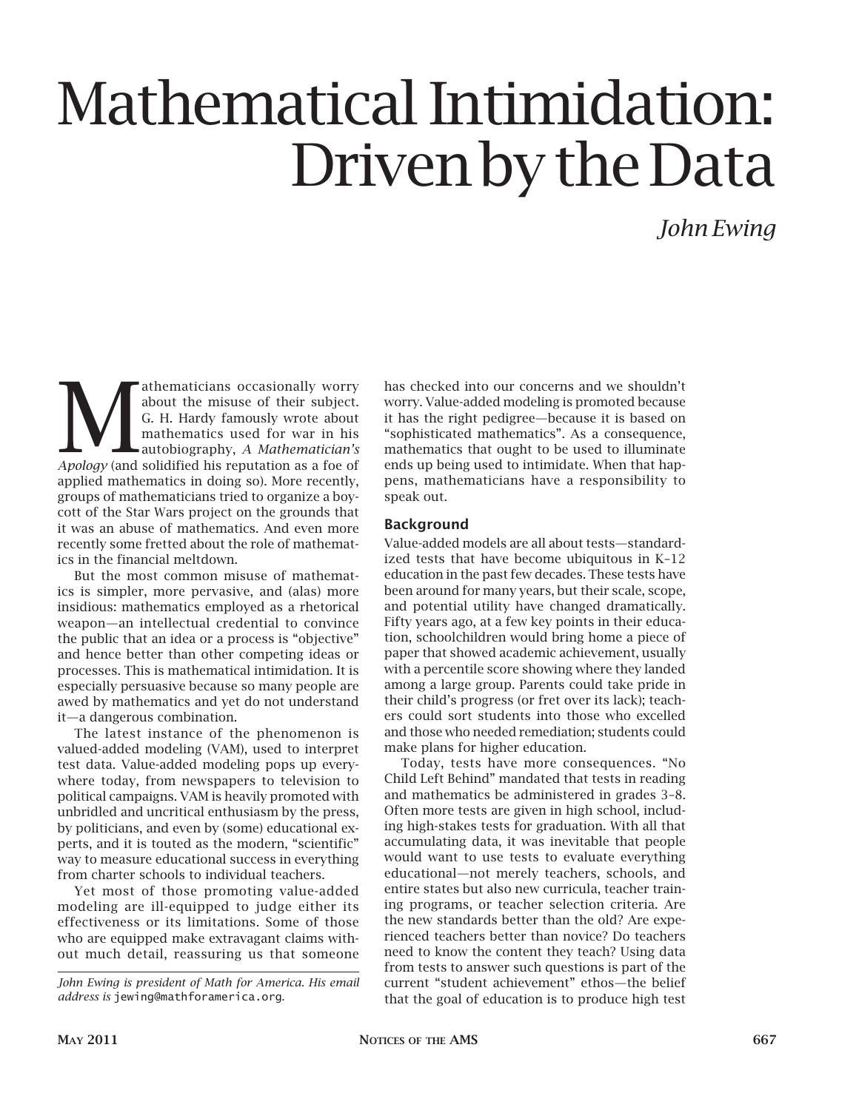# Mathematical Intimidation: Driven by the Data

# *John Ewing*

**All subsetstands** occasionally worry about the misuse of their subject. G. H. Hardy famously wrote about mathematics used for war in his autobiography, A Mathematician's Apology (and solidified his reputation as a foe of about the misuse of their subject. G. H. Hardy famously wrote about mathematics used for war in his autobiography, *A Mathematician's*  applied mathematics in doing so). More recently, groups of mathematicians tried to organize a boycott of the Star Wars project on the grounds that it was an abuse of mathematics. And even more recently some fretted about the role of mathematics in the financial meltdown.

But the most common misuse of mathematics is simpler, more pervasive, and (alas) more insidious: mathematics employed as a rhetorical weapon—an intellectual credential to convince the public that an idea or a process is "objective" and hence better than other competing ideas or processes. This is mathematical intimidation. It is especially persuasive because so many people are awed by mathematics and yet do not understand it—a dangerous combination.

The latest instance of the phenomenon is valued-added modeling (VAM), used to interpret test data. Value-added modeling pops up everywhere today, from newspapers to television to political campaigns. VAM is heavily promoted with unbridled and uncritical enthusiasm by the press, by politicians, and even by (some) educational experts, and it is touted as the modern, "scientific" way to measure educational success in everything from charter schools to individual teachers.

Yet most of those promoting value-added modeling are ill-equipped to judge either its effectiveness or its limitations. Some of those who are equipped make extravagant claims without much detail, reassuring us that someone has checked into our concerns and we shouldn't worry. Value-added modeling is promoted because it has the right pedigree—because it is based on "sophisticated mathematics". As a consequence, mathematics that ought to be used to illuminate ends up being used to intimidate. When that happens, mathematicians have a responsibility to speak out.

### **Background**

Value-added models are all about tests—standardized tests that have become ubiquitous in K–12 education in the past few decades. These tests have been around for many years, but their scale, scope, and potential utility have changed dramatically. Fifty years ago, at a few key points in their education, schoolchildren would bring home a piece of paper that showed academic achievement, usually with a percentile score showing where they landed among a large group. Parents could take pride in their child's progress (or fret over its lack); teachers could sort students into those who excelled and those who needed remediation; students could make plans for higher education.

Today, tests have more consequences. "No Child Left Behind" mandated that tests in reading and mathematics be administered in grades 3–8. Often more tests are given in high school, including high-stakes tests for graduation. With all that accumulating data, it was inevitable that people would want to use tests to evaluate everything educational—not merely teachers, schools, and entire states but also new curricula, teacher training programs, or teacher selection criteria. Are the new standards better than the old? Are experienced teachers better than novice? Do teachers need to know the content they teach? Using data from tests to answer such questions is part of the current "student achievement" ethos—the belief that the goal of education is to produce high test

John Ewing is president of Math for America. His email *address is* jewing@mathforamerica.org.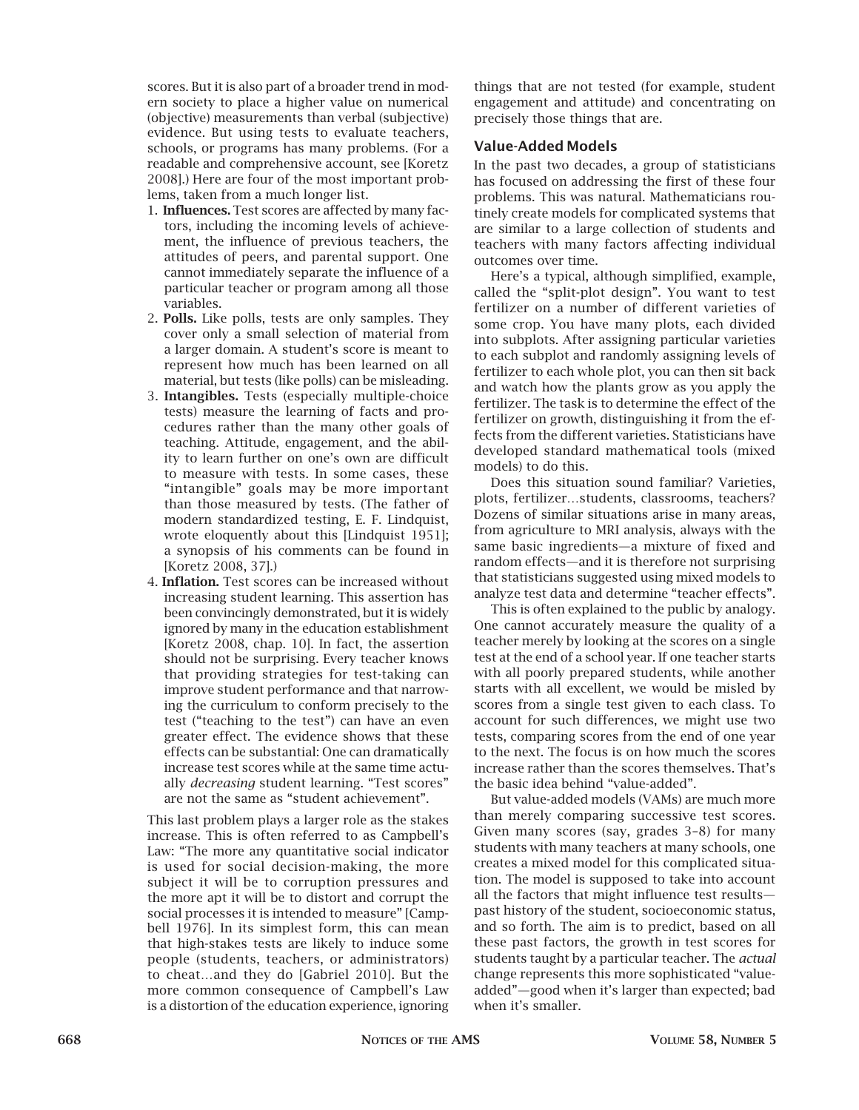scores. But it is also part of a broader trend in modern society to place a higher value on numerical (objective) measurements than verbal (subjective) evidence. But using tests to evaluate teachers, schools, or programs has many problems. (For a readable and comprehensive account, see [Koretz 2008].) Here are four of the most important problems, taken from a much longer list.

- 1. **Influences.** Test scores are affected by many factors, including the incoming levels of achievement, the influence of previous teachers, the attitudes of peers, and parental support. One cannot immediately separate the influence of a particular teacher or program among all those variables.
- 2. **Polls.** Like polls, tests are only samples. They cover only a small selection of material from a larger domain. A student's score is meant to represent how much has been learned on all material, but tests (like polls) can be misleading.
- 3. **Intangibles.** Tests (especially multiple-choice tests) measure the learning of facts and procedures rather than the many other goals of teaching. Attitude, engagement, and the ability to learn further on one's own are difficult to measure with tests. In some cases, these "intangible" goals may be more important than those measured by tests. (The father of modern standardized testing, E. F. Lindquist, wrote eloquently about this [Lindquist 1951]; a synopsis of his comments can be found in [Koretz 2008, 37].)
- 4. **Inflation.** Test scores can be increased without increasing student learning. This assertion has been convincingly demonstrated, but it is widely ignored by many in the education establishment [Koretz 2008, chap. 10]. In fact, the assertion should not be surprising. Every teacher knows that providing strategies for test-taking can improve student performance and that narrowing the curriculum to conform precisely to the test ("teaching to the test") can have an even greater effect. The evidence shows that these effects can be substantial: One can dramatically increase test scores while at the same time actually *decreasing* student learning. "Test scores" are not the same as "student achievement".

This last problem plays a larger role as the stakes increase. This is often referred to as Campbell's Law: "The more any quantitative social indicator is used for social decision-making, the more subject it will be to corruption pressures and the more apt it will be to distort and corrupt the social processes it is intended to measure" [Campbell 1976]. In its simplest form, this can mean that high-stakes tests are likely to induce some people (students, teachers, or administrators) to cheat…and they do [Gabriel 2010]. But the more common consequence of Campbell's Law is a distortion of the education experience, ignoring

things that are not tested (for example, student engagement and attitude) and concentrating on precisely those things that are.

# **Value-Added Models**

In the past two decades, a group of statisticians has focused on addressing the first of these four problems. This was natural. Mathematicians routinely create models for complicated systems that are similar to a large collection of students and teachers with many factors affecting individual outcomes over time.

Here's a typical, although simplified, example, called the "split-plot design". You want to test fertilizer on a number of different varieties of some crop. You have many plots, each divided into subplots. After assigning particular varieties to each subplot and randomly assigning levels of fertilizer to each whole plot, you can then sit back and watch how the plants grow as you apply the fertilizer. The task is to determine the effect of the fertilizer on growth, distinguishing it from the effects from the different varieties. Statisticians have developed standard mathematical tools (mixed models) to do this.

Does this situation sound familiar? Varieties, plots, fertilizer…students, classrooms, teachers? Dozens of similar situations arise in many areas, from agriculture to MRI analysis, always with the same basic ingredients—a mixture of fixed and random effects—and it is therefore not surprising that statisticians suggested using mixed models to analyze test data and determine "teacher effects".

This is often explained to the public by analogy. One cannot accurately measure the quality of a teacher merely by looking at the scores on a single test at the end of a school year. If one teacher starts with all poorly prepared students, while another starts with all excellent, we would be misled by scores from a single test given to each class. To account for such differences, we might use two tests, comparing scores from the end of one year to the next. The focus is on how much the scores increase rather than the scores themselves. That's the basic idea behind "value-added".

But value-added models (VAMs) are much more than merely comparing successive test scores. Given many scores (say, grades 3–8) for many students with many teachers at many schools, one creates a mixed model for this complicated situation. The model is supposed to take into account all the factors that might influence test results past history of the student, socioeconomic status, and so forth. The aim is to predict, based on all these past factors, the growth in test scores for students taught by a particular teacher. The *actual* change represents this more sophisticated "valueadded"—good when it's larger than expected; bad when it's smaller.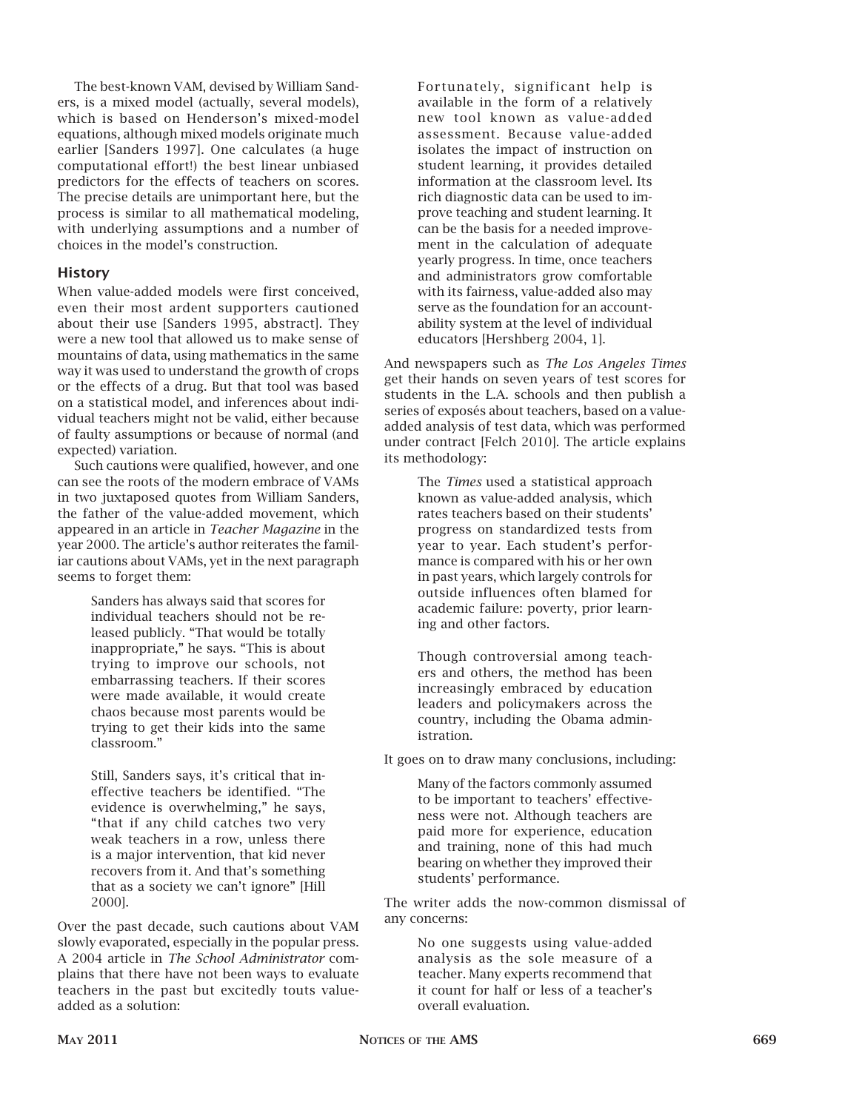The best-known VAM, devised by William Sanders, is a mixed model (actually, several models), which is based on Henderson's mixed-model equations, although mixed models originate much earlier [Sanders 1997]. One calculates (a huge computational effort!) the best linear unbiased predictors for the effects of teachers on scores. The precise details are unimportant here, but the process is similar to all mathematical modeling, with underlying assumptions and a number of choices in the model's construction.

#### **History**

When value-added models were first conceived, even their most ardent supporters cautioned about their use [Sanders 1995, abstract]. They were a new tool that allowed us to make sense of mountains of data, using mathematics in the same way it was used to understand the growth of crops or the effects of a drug. But that tool was based on a statistical model, and inferences about individual teachers might not be valid, either because of faulty assumptions or because of normal (and expected) variation.

Such cautions were qualified, however, and one can see the roots of the modern embrace of VAMs in two juxtaposed quotes from William Sanders, the father of the value-added movement, which appeared in an article in *Teacher Magazine* in the year 2000. The article's author reiterates the familiar cautions about VAMs, yet in the next paragraph seems to forget them:

> Sanders has always said that scores for individual teachers should not be released publicly. "That would be totally inappropriate," he says. "This is about trying to improve our schools, not embarrassing teachers. If their scores were made available, it would create chaos because most parents would be trying to get their kids into the same classroom."

> Still, Sanders says, it's critical that ineffective teachers be identified. "The evidence is overwhelming," he says, "that if any child catches two very weak teachers in a row, unless there is a major intervention, that kid never recovers from it. And that's something that as a society we can't ignore" [Hill 2000].

Over the past decade, such cautions about VAM slowly evaporated, especially in the popular press. A 2004 article in *The School Administrator* complains that there have not been ways to evaluate teachers in the past but excitedly touts valueadded as a solution:

Fortunately, significant help is available in the form of a relatively new tool known as value-added assessment. Because value-added isolates the impact of instruction on student learning, it provides detailed information at the classroom level. Its rich diagnostic data can be used to improve teaching and student learning. It can be the basis for a needed improvement in the calculation of adequate yearly progress. In time, once teachers and administrators grow comfortable with its fairness, value-added also may serve as the foundation for an accountability system at the level of individual educators [Hershberg 2004, 1].

And newspapers such as *The Los Angeles Times*  get their hands on seven years of test scores for students in the L.A. schools and then publish a series of exposés about teachers, based on a valueadded analysis of test data, which was performed under contract [Felch 2010]. The article explains its methodology:

> The *Times* used a statistical approach known as value-added analysis, which rates teachers based on their students' progress on standardized tests from year to year. Each student's performance is compared with his or her own in past years, which largely controls for outside influences often blamed for academic failure: poverty, prior learning and other factors.

> Though controversial among teachers and others, the method has been increasingly embraced by education leaders and policymakers across the country, including the Obama administration.

It goes on to draw many conclusions, including:

Many of the factors commonly assumed to be important to teachers' effectiveness were not. Although teachers are paid more for experience, education and training, none of this had much bearing on whether they improved their students' performance.

The writer adds the now-common dismissal of any concerns:

> No one suggests using value-added analysis as the sole measure of a teacher. Many experts recommend that it count for half or less of a teacher's overall evaluation.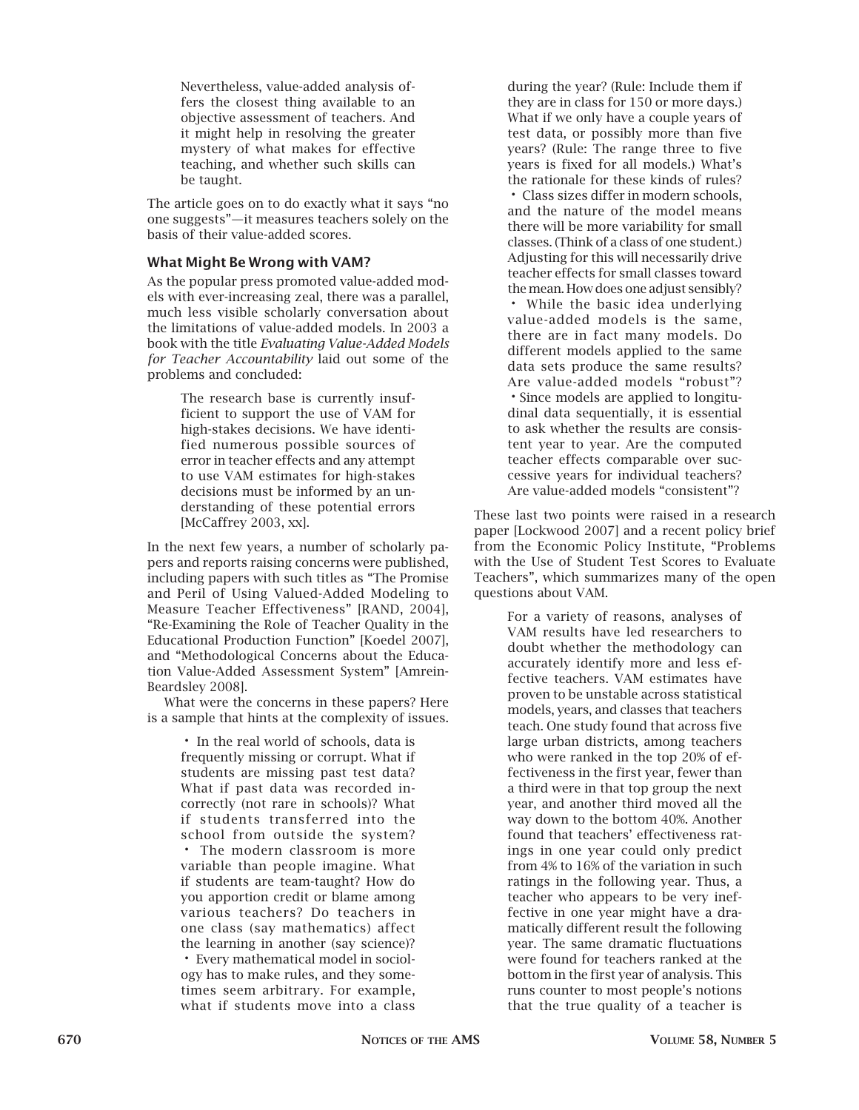Nevertheless, value-added analysis offers the closest thing available to an objective assessment of teachers. And it might help in resolving the greater mystery of what makes for effective teaching, and whether such skills can be taught.

The article goes on to do exactly what it says "no one suggests"—it measures teachers solely on the basis of their value-added scores.

# **What Might Be Wrong with VAM?**

As the popular press promoted value-added models with ever-increasing zeal, there was a parallel, much less visible scholarly conversation about the limitations of value-added models. In 2003 a book with the title *Evaluating Value-Added Models for Teacher Accountability* laid out some of the problems and concluded:

> The research base is currently insufficient to support the use of VAM for high-stakes decisions. We have identified numerous possible sources of error in teacher effects and any attempt to use VAM estimates for high-stakes decisions must be informed by an understanding of these potential errors [McCaffrey 2003, xx].

In the next few years, a number of scholarly papers and reports raising concerns were published, including papers with such titles as "The Promise and Peril of Using Valued-Added Modeling to Measure Teacher Effectiveness" [RAND, 2004], "Re-Examining the Role of Teacher Quality in the Educational Production Function" [Koedel 2007], and "Methodological Concerns about the Education Value-Added Assessment System" [Amrein-Beardsley 2008].

What were the concerns in these papers? Here is a sample that hints at the complexity of issues.

> • In the real world of schools, data is frequently missing or corrupt. What if students are missing past test data? What if past data was recorded incorrectly (not rare in schools)? What if students transferred into the school from outside the system? • The modern classroom is more variable than people imagine. What if students are team-taught? How do you apportion credit or blame among various teachers? Do teachers in one class (say mathematics) affect the learning in another (say science)? • Every mathematical model in sociology has to make rules, and they sometimes seem arbitrary. For example, what if students move into a class

during the year? (Rule: Include them if they are in class for 150 or more days.) What if we only have a couple years of test data, or possibly more than five years? (Rule: The range three to five years is fixed for all models.) What's the rationale for these kinds of rules? • Class sizes differ in modern schools, and the nature of the model means there will be more variability for small classes. (Think of a class of one student.) Adjusting for this will necessarily drive teacher effects for small classes toward the mean. How does one adjust sensibly? • While the basic idea underlying value-added models is the same, there are in fact many models. Do different models applied to the same data sets produce the same results? Are value-added models "robust"? •Since models are applied to longitudinal data sequentially, it is essential to ask whether the results are consistent year to year. Are the computed teacher effects comparable over successive years for individual teachers? Are value-added models "consistent"?

These last two points were raised in a research paper [Lockwood 2007] and a recent policy brief from the Economic Policy Institute, "Problems with the Use of Student Test Scores to Evaluate Teachers", which summarizes many of the open questions about VAM.

> For a variety of reasons, analyses of VAM results have led researchers to doubt whether the methodology can accurately identify more and less effective teachers. VAM estimates have proven to be unstable across statistical models, years, and classes that teachers teach. One study found that across five large urban districts, among teachers who were ranked in the top 20% of effectiveness in the first year, fewer than a third were in that top group the next year, and another third moved all the way down to the bottom 40%. Another found that teachers' effectiveness ratings in one year could only predict from 4% to 16% of the variation in such ratings in the following year. Thus, a teacher who appears to be very ineffective in one year might have a dramatically different result the following year. The same dramatic fluctuations were found for teachers ranked at the bottom in the first year of analysis. This runs counter to most people's notions that the true quality of a teacher is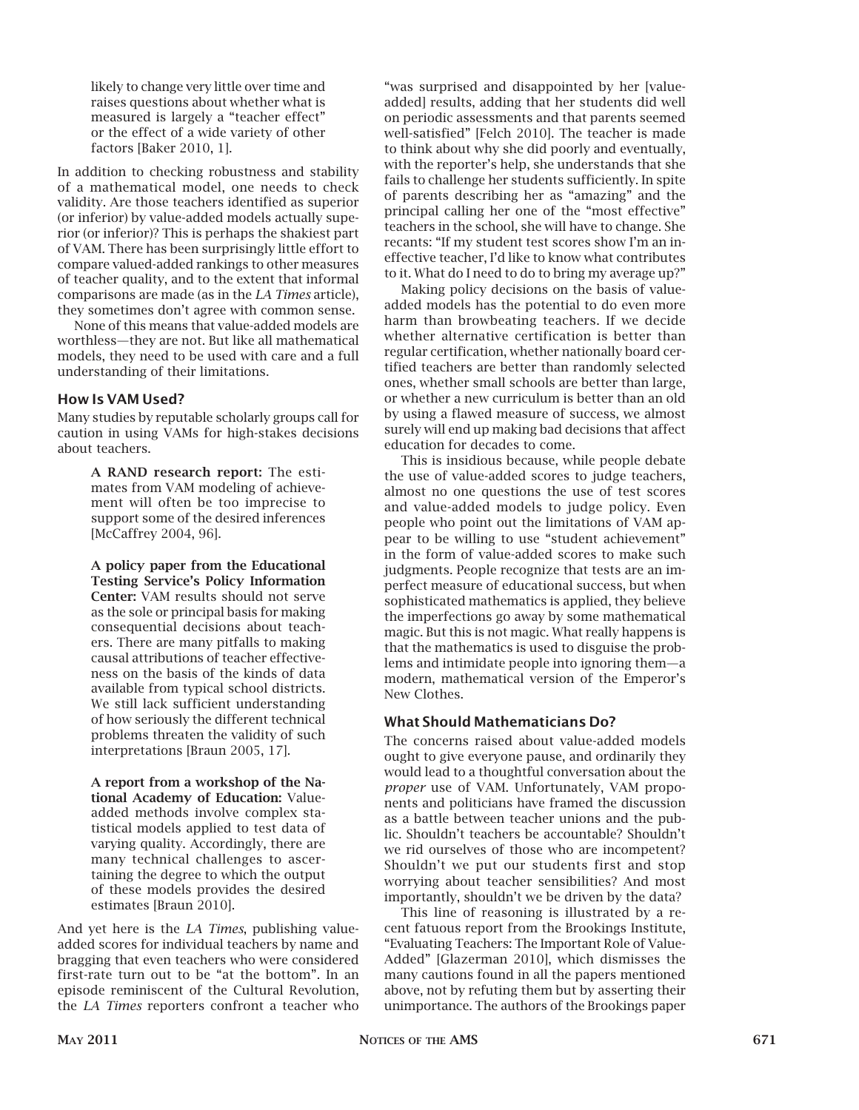likely to change very little over time and raises questions about whether what is measured is largely a "teacher effect" or the effect of a wide variety of other factors [Baker 2010, 1].

In addition to checking robustness and stability of a mathematical model, one needs to check validity. Are those teachers identified as superior (or inferior) by value-added models actually superior (or inferior)? This is perhaps the shakiest part of VAM. There has been surprisingly little effort to compare valued-added rankings to other measures of teacher quality, and to the extent that informal comparisons are made (as in the *LA Times* article), they sometimes don't agree with common sense.

None of this means that value-added models are worthless—they are not. But like all mathematical models, they need to be used with care and a full understanding of their limitations.

#### **How Is VAM Used?**

Many studies by reputable scholarly groups call for caution in using VAMs for high-stakes decisions about teachers.

> **A RAND research report:** The estimates from VAM modeling of achievement will often be too imprecise to support some of the desired inferences [McCaffrey 2004, 96].

**A policy paper from the Educational Testing Service's Policy Information Center:** VAM results should not serve as the sole or principal basis for making consequential decisions about teachers. There are many pitfalls to making causal attributions of teacher effectiveness on the basis of the kinds of data available from typical school districts. We still lack sufficient understanding of how seriously the different technical problems threaten the validity of such interpretations [Braun 2005, 17].

**A report from a workshop of the National Academy of Education:** Valueadded methods involve complex statistical models applied to test data of varying quality. Accordingly, there are many technical challenges to ascertaining the degree to which the output of these models provides the desired estimates [Braun 2010].

And yet here is the *LA Times*, publishing valueadded scores for individual teachers by name and bragging that even teachers who were considered first-rate turn out to be "at the bottom". In an episode reminiscent of the Cultural Revolution, the *LA Times* reporters confront a teacher who "was surprised and disappointed by her [valueadded] results, adding that her students did well on periodic assessments and that parents seemed well-satisfied" [Felch 2010]. The teacher is made to think about why she did poorly and eventually, with the reporter's help, she understands that she fails to challenge her students sufficiently. In spite of parents describing her as "amazing" and the principal calling her one of the "most effective" teachers in the school, she will have to change. She recants: "If my student test scores show I'm an ineffective teacher, I'd like to know what contributes to it. What do I need to do to bring my average up?"

Making policy decisions on the basis of valueadded models has the potential to do even more harm than browbeating teachers. If we decide whether alternative certification is better than regular certification, whether nationally board certified teachers are better than randomly selected ones, whether small schools are better than large, or whether a new curriculum is better than an old by using a flawed measure of success, we almost surely will end up making bad decisions that affect education for decades to come.

This is insidious because, while people debate the use of value-added scores to judge teachers, almost no one questions the use of test scores and value-added models to judge policy. Even people who point out the limitations of VAM appear to be willing to use "student achievement" in the form of value-added scores to make such judgments. People recognize that tests are an imperfect measure of educational success, but when sophisticated mathematics is applied, they believe the imperfections go away by some mathematical magic. But this is not magic. What really happens is that the mathematics is used to disguise the problems and intimidate people into ignoring them—a modern, mathematical version of the Emperor's New Clothes.

#### **What Should Mathematicians Do?**

The concerns raised about value-added models ought to give everyone pause, and ordinarily they would lead to a thoughtful conversation about the *proper* use of VAM. Unfortunately, VAM proponents and politicians have framed the discussion as a battle between teacher unions and the public. Shouldn't teachers be accountable? Shouldn't we rid ourselves of those who are incompetent? Shouldn't we put our students first and stop worrying about teacher sensibilities? And most importantly, shouldn't we be driven by the data?

This line of reasoning is illustrated by a recent fatuous report from the Brookings Institute, "Evaluating Teachers: The Important Role of Value-Added" [Glazerman 2010], which dismisses the many cautions found in all the papers mentioned above, not by refuting them but by asserting their unimportance. The authors of the Brookings paper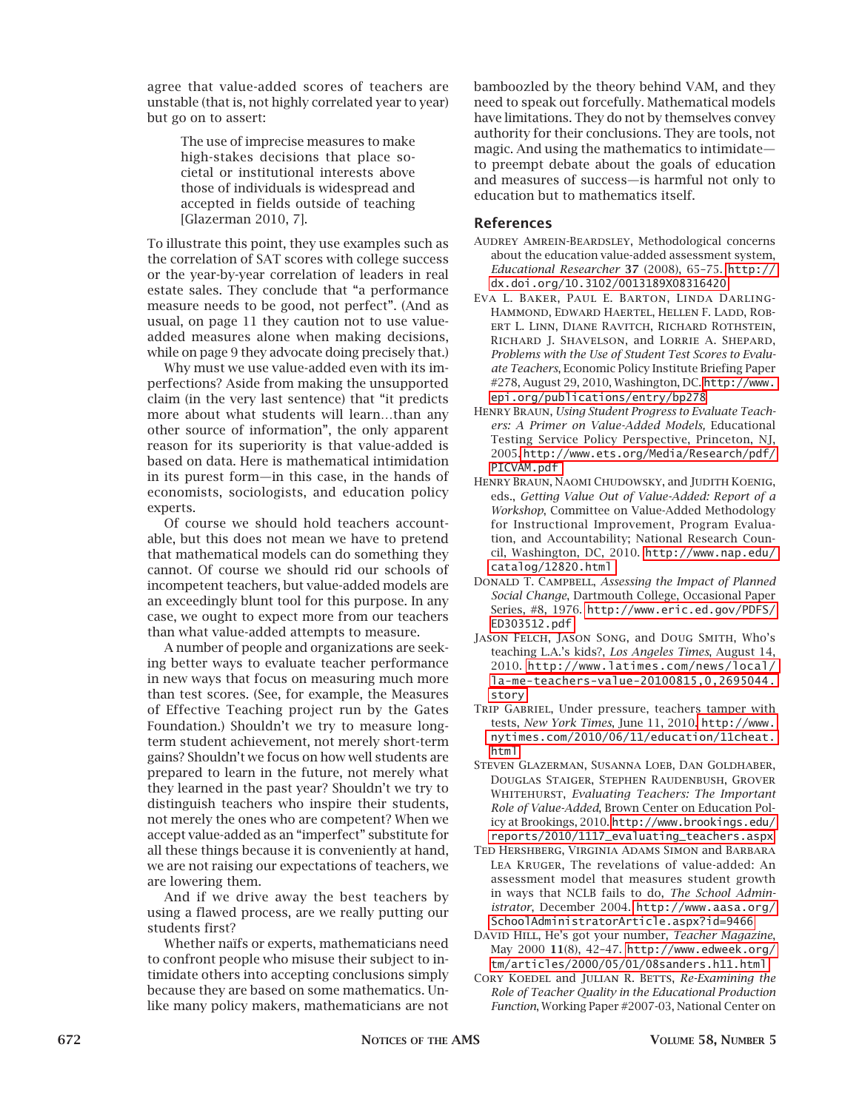agree that value-added scores of teachers are unstable (that is, not highly correlated year to year) but go on to assert:

> The use of imprecise measures to make high-stakes decisions that place societal or institutional interests above those of individuals is widespread and accepted in fields outside of teaching [Glazerman 2010, 7].

To illustrate this point, they use examples such as the correlation of SAT scores with college success or the year-by-year correlation of leaders in real estate sales. They conclude that "a performance measure needs to be good, not perfect". (And as usual, on page 11 they caution not to use valueadded measures alone when making decisions, while on page 9 they advocate doing precisely that.)

Why must we use value-added even with its imperfections? Aside from making the unsupported claim (in the very last sentence) that "it predicts more about what students will learn…than any other source of information", the only apparent reason for its superiority is that value-added is based on data. Here is mathematical intimidation in its purest form—in this case, in the hands of economists, sociologists, and education policy experts.

Of course we should hold teachers accountable, but this does not mean we have to pretend that mathematical models can do something they cannot. Of course we should rid our schools of incompetent teachers, but value-added models are an exceedingly blunt tool for this purpose. In any case, we ought to expect more from our teachers than what value-added attempts to measure.

A number of people and organizations are seeking better ways to evaluate teacher performance in new ways that focus on measuring much more than test scores. (See, for example, the Measures of Effective Teaching project run by the Gates Foundation.) Shouldn't we try to measure longterm student achievement, not merely short-term gains? Shouldn't we focus on how well students are prepared to learn in the future, not merely what they learned in the past year? Shouldn't we try to distinguish teachers who inspire their students, not merely the ones who are competent? When we accept value-added as an "imperfect" substitute for all these things because it is conveniently at hand, we are not raising our expectations of teachers, we are lowering them.

And if we drive away the best teachers by using a flawed process, are we really putting our students first?

Whether naïfs or experts, mathematicians need to confront people who misuse their subject to intimidate others into accepting conclusions simply because they are based on some mathematics. Unlike many policy makers, mathematicians are not

bamboozled by the theory behind VAM, and they need to speak out forcefully. Mathematical models have limitations. They do not by themselves convey authority for their conclusions. They are tools, not magic. And using the mathematics to intimidate to preempt debate about the goals of education and measures of success—is harmful not only to education but to mathematics itself.

## **References**

- Audrey Amrein-Beardsley, Methodological concerns about the education value-added assessment system, *Educational Researcher* **37** (2008), 65–75. [http://](http://dx.doi.org/10.3102/0013189X08316420) [dx.doi.org/10.3102/0013189X08316420](http://dx.doi.org/10.3102/0013189X08316420)
- Eva L. Baker, Paul E. Barton, Linda Darling-Hammond, Edward Haertel, Hellen F. Ladd, Robert L. Linn, Diane Ravitch, Richard Rothstein, Richard J. Shavelson, and Lorrie A. Shepard, *Problems with the Use of Student Test Scores to Evaluate Teachers*, Economic Policy Institute Briefing Paper #278, August 29, 2010, Washington, DC. [http://www.](http://www.epi.org/publications/entry/bp278) [epi.org/publications/entry/bp278](http://www.epi.org/publications/entry/bp278)
- Henry Braun, *Using Student Progress to Evaluate Teachers: A Primer on Value-Added Models,* Educational Testing Service Policy Perspective, Princeton, NJ, 2005. [http://www.ets.org/Media/Research/pdf/](http://www.ets.org/Media/Research/pdf/PICVAM.pdf) [PICVAM.pdf](http://www.ets.org/Media/Research/pdf/PICVAM.pdf)
- Henry Braun, Naomi Chudowsky, and Judith Koenig, eds., *Getting Value Out of Value-Added: Report of a Workshop*, Committee on Value-Added Methodology for Instructional Improvement, Program Evaluation, and Accountability; National Research Council, Washington, DC, 2010. [http://www.nap.edu/](http://www.nap.edu/catalog/12820.html) [catalog/12820.html](http://www.nap.edu/catalog/12820.html)
- Donald T. Campbell, *Assessing the Impact of Planned Social Change*, Dartmouth College, Occasional Paper Series, #8, 1976. [http://www.eric.ed.gov/PDFS/](http://www.eric.ed.gov/PDFS/ED303512.pdf) [ED303512.pdf](http://www.eric.ed.gov/PDFS/ED303512.pdf)
- Jason Felch, Jason Song, and Doug Smith, Who's teaching L.A.'s kids?, *Los Angeles Times*, August 14, 2010. [http://www.latimes.com/news/local/](http://www.latimes.com/news/local/la-me-teachers-value-20100815,0,2695044.story) [la-me-teachers-value-20100815,0,2695044.](http://www.latimes.com/news/local/la-me-teachers-value-20100815,0,2695044.story) [story](http://www.latimes.com/news/local/la-me-teachers-value-20100815,0,2695044.story)
- Trip Gabriel, Under pressure, teachers tamper with tests, *New York Times*, June 11, 2010. [http://www.](http://www.nytimes.com/2010/06/11/education/11cheat.html?scp=19&sq=trip) [nytimes.com/2010/06/11/education/11cheat.](http://www.nytimes.com/2010/06/11/education/11cheat.html?scp=19&sq=trip) [html](http://www.nytimes.com/2010/06/11/education/11cheat.html?scp=19&sq=trip)
- Steven Glazerman, Susanna Loeb, Dan Goldhaber, Douglas Staiger, Stephen Raudenbush, Grover Whitehurst, *Evaluating Teachers: The Important Role of Value-Added*, Brown Center on Education Policy at Brookings, 2010. [http://www.brookings.edu/](http://www.brookings.edu/reports/2010/1117_evaluating_teachers.aspx) [reports/2010/1117\\_evaluating\\_teachers.aspx](http://www.brookings.edu/reports/2010/1117_evaluating_teachers.aspx)
- Ted Hershberg, Virginia Adams Simon and Barbara Lea Kruger, The revelations of value-added: An assessment model that measures student growth in ways that NCLB fails to do, *The School Administrator*, December 2004. [http://www.aasa.org/](http://www.aasa.org/SchoolAdministratorArticle.aspx?id=9466) [SchoolAdministratorArticle.aspx?id=9466](http://www.aasa.org/SchoolAdministratorArticle.aspx?id=9466)
- David Hill, He's got your number, *Teacher Magazine*, May 2000 **11**(8), 42–47. [http://www.edweek.org/](http://www.edweek.org/tm/articles/2000/05/01/08sanders.h11.html) [tm/articles/2000/05/01/08sanders.h11.html](http://www.edweek.org/tm/articles/2000/05/01/08sanders.h11.html)
- CORY KOEDEL and JULIAN R. BETTS, *Re-Examining the Role of Teacher Quality in the Educational Production Function*, Working Paper #2007-03, National Center on